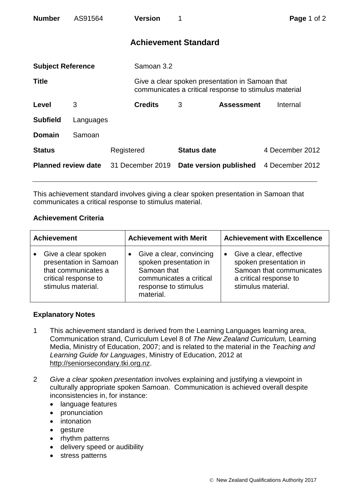| <b>Number</b>              | AS91564   |                  | <b>Version</b>              |                        |                                                                                                          | Page 1 of 2     |  |  |  |
|----------------------------|-----------|------------------|-----------------------------|------------------------|----------------------------------------------------------------------------------------------------------|-----------------|--|--|--|
|                            |           |                  | <b>Achievement Standard</b> |                        |                                                                                                          |                 |  |  |  |
| <b>Subject Reference</b>   |           |                  | Samoan 3.2                  |                        |                                                                                                          |                 |  |  |  |
| <b>Title</b>               |           |                  |                             |                        | Give a clear spoken presentation in Samoan that<br>communicates a critical response to stimulus material |                 |  |  |  |
| Level                      | 3         |                  | <b>Credits</b>              | 3                      | <b>Assessment</b>                                                                                        | Internal        |  |  |  |
| <b>Subfield</b>            | Languages |                  |                             |                        |                                                                                                          |                 |  |  |  |
| <b>Domain</b>              | Samoan    |                  |                             |                        |                                                                                                          |                 |  |  |  |
| <b>Status</b>              |           | Registered       |                             | <b>Status date</b>     |                                                                                                          | 4 December 2012 |  |  |  |
| <b>Planned review date</b> |           | 31 December 2019 |                             | Date version published |                                                                                                          | 4 December 2012 |  |  |  |

This achievement standard involves giving a clear spoken presentation in Samoan that communicates a critical response to stimulus material.

## **Achievement Criteria**

| <b>Achievement</b> |                                                                                                                    | <b>Achievement with Merit</b> |                                                                                                                                   | <b>Achievement with Excellence</b> |                                                                                                                               |
|--------------------|--------------------------------------------------------------------------------------------------------------------|-------------------------------|-----------------------------------------------------------------------------------------------------------------------------------|------------------------------------|-------------------------------------------------------------------------------------------------------------------------------|
|                    | Give a clear spoken<br>presentation in Samoan<br>that communicates a<br>critical response to<br>stimulus material. |                               | Give a clear, convincing<br>spoken presentation in<br>Samoan that<br>communicates a critical<br>response to stimulus<br>material. | $\bullet$                          | Give a clear, effective<br>spoken presentation in<br>Samoan that communicates<br>a critical response to<br>stimulus material. |

## **Explanatory Notes**

- 1 This achievement standard is derived from the Learning Languages learning area, Communication strand, Curriculum Level 8 of *The New Zealand Curriculum,* Learning Media, Ministry of Education, 2007; and is related to the material in the *Teaching and Learning Guide for Languages*, Ministry of Education, 2012 at [http://seniorsecondary.tki.org.nz.](http://seniorsecondary.tki.org.nz/)
- 2 *Give a clear spoken presentation* involves explaining and justifying a viewpoint in culturally appropriate spoken Samoan. Communication is achieved overall despite inconsistencies in, for instance:
	- language features
	- pronunciation
	- intonation
	- gesture
	- rhythm patterns
	- delivery speed or audibility
	- stress patterns